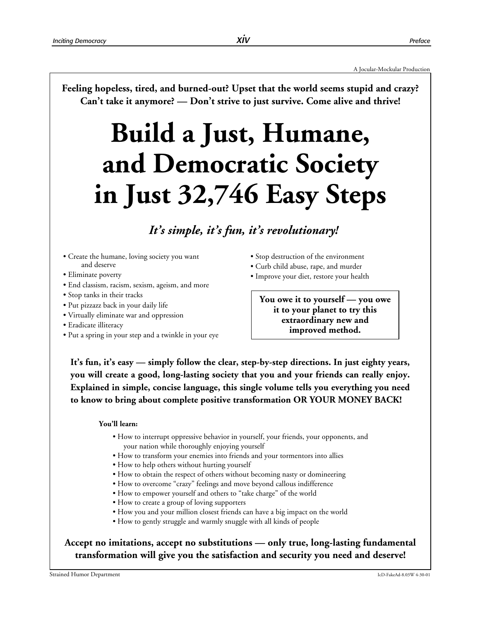**Feeling hopeless, tired, and burned-out? Upset that the world seems stupid and crazy? Can't take it anymore? — Don't strive to just survive. Come alive and thrive!**

# **Build a Just, Humane, and Democratic Society in Just 32,746 Easy Steps**

# *It's simple, it's fun, it's revolutionary!*

- Create the humane, loving society you want and deserve
- Eliminate poverty
- End classism, racism, sexism, ageism, and more
- Stop tanks in their tracks
- Put pizzazz back in your daily life
- Virtually eliminate war and oppression
- Eradicate illiteracy
- Put a spring in your step and a twinkle in your eye
- Stop destruction of the environment
- Curb child abuse, rape, and murder
- Improve your diet, restore your health

**You owe it to yourself — you owe it to your planet to try this extraordinary new and improved method.**

**It's fun, it's easy — simply follow the clear, step-by-step directions. In just eighty years, you will create a good, long-lasting society that you and your friends can really enjoy. Explained in simple, concise language, this single volume tells you everything you need to know to bring about complete positive transformation OR YOUR MONEY BACK!**

#### **You'll learn:**

- How to interrupt oppressive behavior in yourself, your friends, your opponents, and your nation while thoroughly enjoying yourself
- How to transform your enemies into friends and your tormentors into allies
- How to help others without hurting yourself
- How to obtain the respect of others without becoming nasty or domineering
- How to overcome "crazy" feelings and move beyond callous indifference
- How to empower yourself and others to "take charge" of the world
- How to create a group of loving supporters
- How you and your million closest friends can have a big impact on the world
- How to gently struggle and warmly snuggle with all kinds of people

# **Accept no imitations, accept no substitutions — only true, long-lasting fundamental transformation will give you the satisfaction and security you need and deserve!**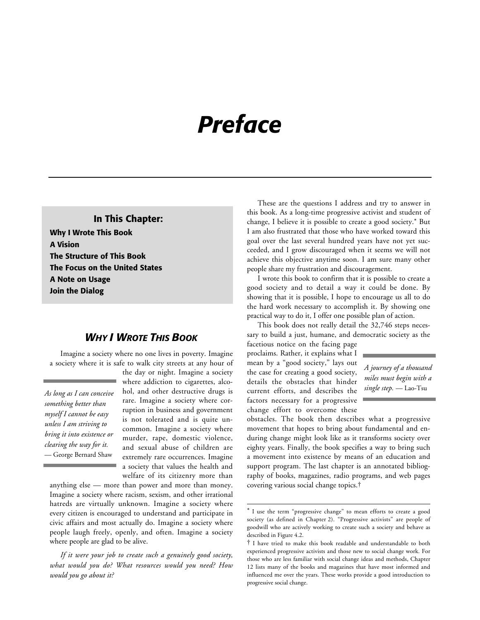# *Preface*

**In This Chapter: Why I Wrote This Book A Vision The Structure of This Book The Focus on the United States A Note on Usage Join the Dialog**

# *WHY I WROTE THIS BOOK*

Imagine a society where no one lives in poverty. Imagine a society where it is safe to walk city streets at any hour of

*As long as I can conceive something better than myself I cannot be easy unless I am striving to bring it into existence or clearing the way for it.* — George Bernard Shaw

the day or night. Imagine a society where addiction to cigarettes, alcohol, and other destructive drugs is rare. Imagine a society where corruption in business and government is not tolerated and is quite uncommon. Imagine a society where murder, rape, domestic violence, and sexual abuse of children are extremely rare occurrences. Imagine a society that values the health and welfare of its citizenry more than

anything else — more than power and more than money. Imagine a society where racism, sexism, and other irrational hatreds are virtually unknown. Imagine a society where every citizen is encouraged to understand and participate in civic affairs and most actually do. Imagine a society where people laugh freely, openly, and often. Imagine a society where people are glad to be alive.

*If it were your job to create such a genuinely good society, what would you do? What resources would you need? How would you go about it?*

These are the questions I address and try to answer in this book. As a long-time progressive activist and student of change, I believe it is possible to create a good society.\* But I am also frustrated that those who have worked toward this goal over the last several hundred years have not yet succeeded, and I grow discouraged when it seems we will not achieve this objective anytime soon. I am sure many other people share my frustration and discouragement.

I wrote this book to confirm that it is possible to create a good society and to detail a way it could be done. By showing that it is possible, I hope to encourage us all to do the hard work necessary to accomplish it. By showing one practical way to do it, I offer one possible plan of action.

This book does not really detail the 32,746 steps necessary to build a just, humane, and democratic society as the

facetious notice on the facing page proclaims. Rather, it explains what I mean by a "good society," lays out the case for creating a good society, details the obstacles that hinder current efforts, and describes the factors necessary for a progressive change effort to overcome these

 $\overline{a}$ 



obstacles. The book then describes what a progressive movement that hopes to bring about fundamental and enduring change might look like as it transforms society over eighty years. Finally, the book specifies a way to bring such a movement into existence by means of an education and support program. The last chapter is an annotated bibliography of books, magazines, radio programs, and web pages covering various social change topics.†

<sup>\*</sup> I use the term "progressive change" to mean efforts to create a good society (as defined in Chapter 2). "Progressive activists" are people of goodwill who are actively working to create such a society and behave as described in Figure 4.2.

<sup>†</sup> I have tried to make this book readable and understandable to both experienced progressive activists and those new to social change work. For those who are less familiar with social change ideas and methods, Chapter 12 lists many of the books and magazines that have most informed and influenced me over the years. These works provide a good introduction to progressive social change.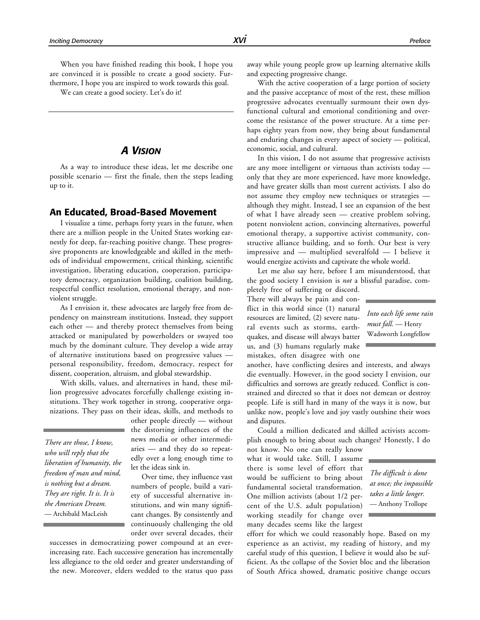When you have finished reading this book, I hope you are convinced it is possible to create a good society. Furthermore, I hope you are inspired to work towards this goal.

We can create a good society. Let's do it!

### *A VISION*

As a way to introduce these ideas, let me describe one possible scenario — first the finale, then the steps leading up to it.

#### **An Educated, Broad-Based Movement**

I visualize a time, perhaps forty years in the future, when there are a million people in the United States working earnestly for deep, far-reaching positive change. These progressive proponents are knowledgeable and skilled in the methods of individual empowerment, critical thinking, scientific investigation, liberating education, cooperation, participatory democracy, organization building, coalition building, respectful conflict resolution, emotional therapy, and nonviolent struggle.

As I envision it, these advocates are largely free from dependency on mainstream institutions. Instead, they support each other — and thereby protect themselves from being attacked or manipulated by powerholders or swayed too much by the dominant culture. They develop a wide array of alternative institutions based on progressive values personal responsibility, freedom, democracy, respect for dissent, cooperation, altruism, and global stewardship.

With skills, values, and alternatives in hand, these million progressive advocates forcefully challenge existing institutions. They work together in strong, cooperative organizations. They pass on their ideas, skills, and methods to

*There are those, I know, who will reply that the liberation of humanity, the freedom of man and mind, is nothing but a dream. They are right. It is. It is the American Dream.* — Archibald MacLeish

other people directly — without the distorting influences of the news media or other intermediaries — and they do so repeatedly over a long enough time to let the ideas sink in.

Over time, they influence vast numbers of people, build a variety of successful alternative institutions, and win many significant changes. By consistently and continuously challenging the old order over several decades, their

successes in democratizing power compound at an everincreasing rate. Each successive generation has incrementally less allegiance to the old order and greater understanding of the new. Moreover, elders wedded to the status quo pass

away while young people grow up learning alternative skills and expecting progressive change.

With the active cooperation of a large portion of society and the passive acceptance of most of the rest, these million progressive advocates eventually surmount their own dysfunctional cultural and emotional conditioning and overcome the resistance of the power structure. At a time perhaps eighty years from now, they bring about fundamental and enduring changes in every aspect of society — political, economic, social, and cultural.

In this vision, I do not assume that progressive activists are any more intelligent or virtuous than activists today only that they are more experienced, have more knowledge, and have greater skills than most current activists. I also do not assume they employ new techniques or strategies although they might. Instead, I see an expansion of the best of what I have already seen — creative problem solving, potent nonviolent action, convincing alternatives, powerful emotional therapy, a supportive activist community, constructive alliance building, and so forth. Our best is very impressive and — multiplied severalfold — I believe it would energize activists and captivate the whole world.

Let me also say here, before I am misunderstood, that the good society I envision is *not* a blissful paradise, com-

pletely free of suffering or discord. There will always be pain and conflict in this world since (1) natural resources are limited, (2) severe natural events such as storms, earthquakes, and disease will always batter us, and (3) humans regularly make mistakes, often disagree with one

another, have conflicting desires and interests, and always die eventually. However, in the good society I envision, our difficulties and sorrows are greatly reduced. Conflict is constrained and directed so that it does not demean or destroy people. Life is still hard in many of the ways it is now, but unlike now, people's love and joy vastly outshine their woes and disputes.

Could a million dedicated and skilled activists accomplish enough to bring about such changes? Honestly, I do

not know. No one can really know what it would take. Still, I assume there is some level of effort that would be sufficient to bring about fundamental societal transformation. One million activists (about 1/2 percent of the U.S. adult population) working steadily for change over many decades seems like the largest

effort for which we could reasonably hope. Based on my experience as an activist, my reading of history, and my careful study of this question, I believe it would also be sufficient. As the collapse of the Soviet bloc and the liberation of South Africa showed, dramatic positive change occurs

*Into each life some rain must fall.* — Henry Wadsworth Longfellow

*The difficult is done at once; the impossible takes a little longer.* — Anthony Trollope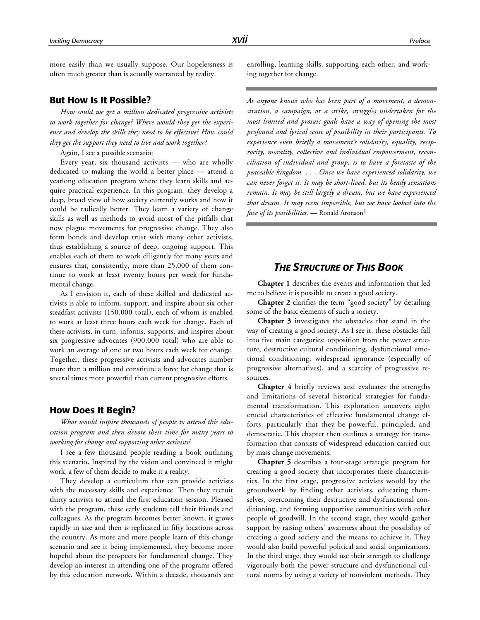more easily than we usually suppose. Our hopelessness is often much greater than is actually warranted by reality.

#### **But How Is It Possible?**

*How could we get a million dedicated progressive activists to work together for change? Where would they get the experience and develop the skills they need to be effective? How could they get the support they need to live and work together?*

Again, I see a possible scenario:

Every year, six thousand activists — who are wholly dedicated to making the world a better place — attend a yearlong education program where they learn skills and acquire practical experience. In this program, they develop a deep, broad view of how society currently works and how it could be radically better. They learn a variety of change skills as well as methods to avoid most of the pitfalls that now plague movements for progressive change. They also form bonds and develop trust with many other activists, thus establishing a source of deep, ongoing support. This enables each of them to work diligently for many years and ensures that, consistently, more than 25,000 of them continue to work at least twenty hours per week for fundamental change.

As I envision it, each of these skilled and dedicated activists is able to inform, support, and inspire about six other steadfast activists (150,000 total), each of whom is enabled to work at least three hours each week for change. Each of these activists, in turn, informs, supports, and inspires about six progressive advocates (900,000 total) who are able to work an average of one or two hours each week for change. Together, these progressive activists and advocates number more than a million and constitute a force for change that is several times more powerful than current progressive efforts.

#### **How Does It Begin?**

*What would inspire thousands of people to attend this education program and then devote their time for many years to working for change and supporting other activists?*

I see a few thousand people reading a book outlining this scenario**.** Inspired by the vision and convinced it might work, a few of them decide to make it a reality.

They develop a curriculum that can provide activists with the necessary skills and experience. Then they recruit thirty activists to attend the first education session. Pleased with the program, these early students tell their friends and colleagues. As the program becomes better known, it grows rapidly in size and then is replicated in fifty locations across the country. As more and more people learn of this change scenario and see it being implemented, they become more hopeful about the prospects for fundamental change. They develop an interest in attending one of the programs offered by this education network. Within a decade, thousands are enrolling, learning skills, supporting each other, and working together for change.

*As anyone knows who has been part of a movement, a demonstration, a campaign, or a strike, struggles undertaken for the most limited and prosaic goals have a way of opening the most profound and lyrical sense of possibility in their participants. To experience even briefly a movement's solidarity, equality, reciprocity, morality, collective and individual empowerment, reconciliation of individual and group, is to have a foretaste of the peaceable kingdom. . . . Once we have experienced solidarity, we can never forget it. It may be short-lived, but its heady sensations remain. It may be still largely a dream, but we have experienced that dream. It may seem impossible, but we have looked into the face of its possibilities.* — Ronald Aronson<sup>1</sup>

# *THE STRUCTURE OF THIS BOOK*

**Chapter 1** describes the events and information that led me to believe it is possible to create a good society.

**Chapter 2** clarifies the term "good society" by detailing some of the basic elements of such a society.

**Chapter 3** investigates the obstacles that stand in the way of creating a good society. As I see it, these obstacles fall into five main categories: opposition from the power structure, destructive cultural conditioning, dysfunctional emotional conditioning, widespread ignorance (especially of progressive alternatives), and a scarcity of progressive resources.

**Chapter 4** briefly reviews and evaluates the strengths and limitations of several historical strategies for fundamental transformation. This exploration uncovers eight crucial characteristics of effective fundamental change efforts, particularly that they be powerful, principled, and democratic. This chapter then outlines a strategy for transformation that consists of widespread education carried out by mass change movements.

**Chapter 5** describes a four-stage strategic program for creating a good society that incorporates these characteristics. In the first stage, progressive activists would lay the groundwork by finding other activists, educating themselves, overcoming their destructive and dysfunctional conditioning, and forming supportive communities with other people of goodwill. In the second stage, they would gather support by raising others' awareness about the possibility of creating a good society and the means to achieve it. They would also build powerful political and social organizations. In the third stage, they would use their strength to challenge vigorously both the power structure and dysfunctional cultural norms by using a variety of nonviolent methods. They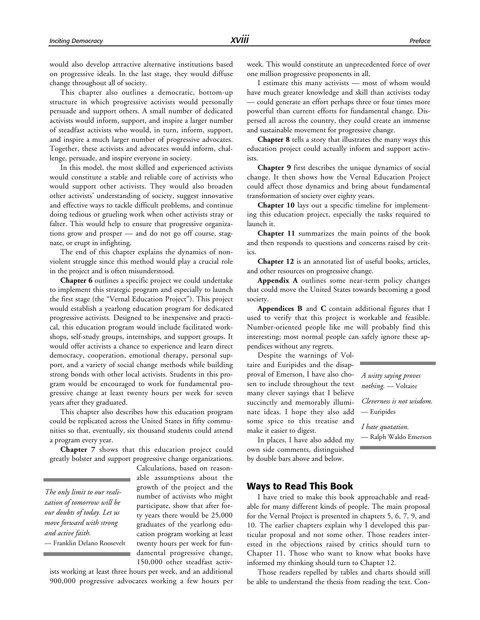would also develop attractive alternative institutions based on progressive ideals. In the last stage, they would diffuse change throughout all of society.

This chapter also outlines a democratic, bottom-up structure in which progressive activists would personally persuade and support others. A small number of dedicated activists would inform, support, and inspire a larger number of steadfast activists who would, in turn, inform, support, and inspire a much larger number of progressive advocates. Together, these activists and advocates would inform, challenge, persuade, and inspire everyone in society.

In this model, the most skilled and experienced activists would constitute a stable and reliable core of activists who would support other activists. They would also broaden other activists' understanding of society, suggest innovative and effective ways to tackle difficult problems, and continue doing tedious or grueling work when other activists stray or falter. This would help to ensure that progressive organizations grow and prosper — and do not go off course, stagnate, or erupt in infighting.

The end of this chapter explains the dynamics of nonviolent struggle since this method would play a crucial role in the project and is often misunderstood.

**Chapter 6** outlines a specific project we could undertake to implement this strategic program and especially to launch the first stage (the "Vernal Education Project"). This project would establish a yearlong education program for dedicated progressive activists. Designed to be inexpensive and practical, this education program would include facilitated workshops, self-study groups, internships, and support groups. It would offer activists a chance to experience and learn direct democracy, cooperation, emotional therapy, personal support, and a variety of social change methods while building strong bonds with other local activists. Students in this program would be encouraged to work for fundamental progressive change at least twenty hours per week for seven years after they graduated.

This chapter also describes how this education program could be replicated across the United States in fifty communities so that, eventually, six thousand students could attend a program every year.

**Chapter 7** shows that this education project could greatly bolster and support progressive change organizations.

*The only limit to our realization of tomorrow will be our doubts of today. Let us move forward with strong and active faith.* — Franklin Delano Roosevelt

Calculations, based on reasonable assumptions about the growth of the project and the number of activists who might participate, show that after forty years there would be 25,000 graduates of the yearlong education program working at least twenty hours per week for fundamental progressive change, 150,000 other steadfast activ-

ists working at least three hours per week, and an additional 900,000 progressive advocates working a few hours per week. This would constitute an unprecedented force of over one million progressive proponents in all.

I estimate this many activists — most of whom would have much greater knowledge and skill than activists today — could generate an effort perhaps three or four times more powerful than current efforts for fundamental change. Dispersed all across the country, they could create an immense and sustainable movement for progressive change.

**Chapter 8** tells a story that illustrates the many ways this education project could actually inform and support activists.

**Chapter 9** first describes the unique dynamics of social change. It then shows how the Vernal Education Project could affect those dynamics and bring about fundamental transformation of society over eighty years.

**Chapter 10** lays out a specific timeline for implementing this education project, especially the tasks required to launch it.

**Chapter 11** summarizes the main points of the book and then responds to questions and concerns raised by critics.

**Chapter 12** is an annotated list of useful books, articles, and other resources on progressive change.

**Appendix A** outlines some near-term policy changes that could move the United States towards becoming a good society.

**Appendices B** and **C** contain additional figures that I used to verify that this project is workable and feasible. Number-oriented people like me will probably find this interesting; most normal people can safely ignore these appendices without any regrets.

Despite the warnings of Voltaire and Euripides and the disapproval of Emerson, I have also chosen to include throughout the text many clever sayings that I believe succinctly and memorably illuminate ideas. I hope they also add some spice to this treatise and make it easier to digest.

In places, I have also added my own side comments, distinguished by double bars above and below.

*A witty saying proves nothing.* — Voltaire

*Cleverness is not wisdom.* — Euripides

*I hate quotation.* — Ralph Waldo Emerson

# **Ways to Read This Book**

I have tried to make this book approachable and readable for many different kinds of people. The main proposal for the Vernal Project is presented in chapters 5, 6, 7, 9, and 10. The earlier chapters explain why I developed this particular proposal and not some other. Those readers interested in the objections raised by critics should turn to Chapter 11. Those who want to know what books have informed my thinking should turn to Chapter 12.

Those readers repelled by tables and charts should still be able to understand the thesis from reading the text. Con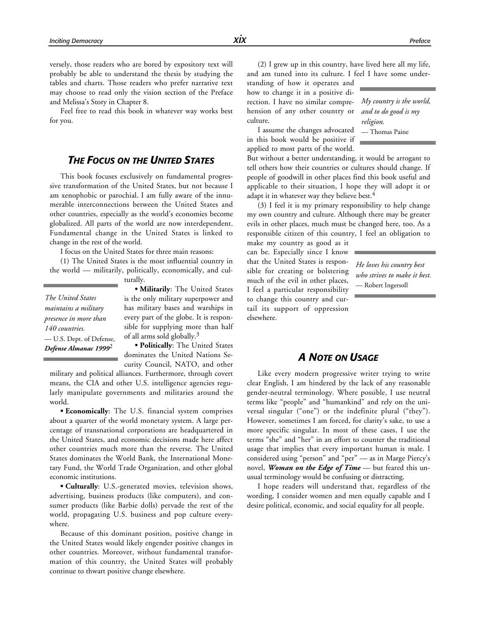versely, those readers who are bored by expository text will probably be able to understand the thesis by studying the tables and charts. Those readers who prefer narrative text may choose to read only the vision section of the Preface and Melissa's Story in Chapter 8.

Feel free to read this book in whatever way works best for you.

# *THE FOCUS ON THE UNITED STATES*

This book focuses exclusively on fundamental progressive transformation of the United States, but not because I am xenophobic or parochial. I am fully aware of the innumerable interconnections between the United States and other countries, especially as the world's economies become globalized. All parts of the world are now interdependent. Fundamental change in the United States is linked to change in the rest of the world.

I focus on the United States for three main reasons:

(1) The United States is the most influential country in the world — militarily, politically, economically, and cul-

turally.

*The United States maintains a military presence in more than 140 countries.* — U.S. Dept. of Defense, *Defense Almanac 1999*2

**• Militarily**: The United States is the only military superpower and has military bases and warships in every part of the globe. It is responsible for supplying more than half of all arms sold globally.3

**• Politically**: The United States dominates the United Nations Security Council, NATO, and other

military and political alliances. Furthermore, through covert means, the CIA and other U.S. intelligence agencies regularly manipulate governments and militaries around the world.

**• Economically**: The U.S. financial system comprises about a quarter of the world monetary system. A large percentage of transnational corporations are headquartered in the United States, and economic decisions made here affect other countries much more than the reverse. The United States dominates the World Bank, the International Monetary Fund, the World Trade Organization, and other global economic institutions.

**• Culturally**: U.S.-generated movies, television shows, advertising, business products (like computers), and consumer products (like Barbie dolls) pervade the rest of the world, propagating U.S. business and pop culture everywhere.

Because of this dominant position, positive change in the United States would likely engender positive changes in other countries. Moreover, without fundamental transformation of this country, the United States will probably continue to thwart positive change elsewhere.

(2) I grew up in this country, have lived here all my life, and am tuned into its culture. I feel I have some under-

standing of how it operates and how to change it in a positive direction. I have no similar comprehension of any other country or culture.

I assume the changes advocated in this book would be positive if applied to most parts of the world.

*My country is the world, and to do good is my religion.* — Thomas Paine

But without a better understanding, it would be arrogant to tell others how their countries or cultures should change. If people of goodwill in other places find this book useful and applicable to their situation, I hope they will adopt it or adapt it in whatever way they believe best.<sup>4</sup>

(3) I feel it is my primary responsibility to help change my own country and culture. Although there may be greater evils in other places, much must be changed here, too. As a responsible citizen of this country, I feel an obligation to

make my country as good as it can be. Especially since I know that the United States is responsible for creating or bolstering much of the evil in other places, I feel a particular responsibility to change this country and curtail its support of oppression elsewhere.

*He loves his country best who strives to make it best.* — Robert Ingersoll

# *A NOTE ON USAGE*

Like every modern progressive writer trying to write clear English, I am hindered by the lack of any reasonable gender-neutral terminology. Where possible, I use neutral terms like "people" and "humankind" and rely on the universal singular ("one") or the indefinite plural ("they"). However, sometimes I am forced, for clarity's sake, to use a more specific singular. In most of these cases, I use the terms "she" and "her" in an effort to counter the traditional usage that implies that every important human is male. I considered using "person" and "per" — as in Marge Piercy's novel, *Woman on the Edge of Time* — but feared this unusual terminology would be confusing or distracting.

I hope readers will understand that, regardless of the wording, I consider women and men equally capable and I desire political, economic, and social equality for all people.